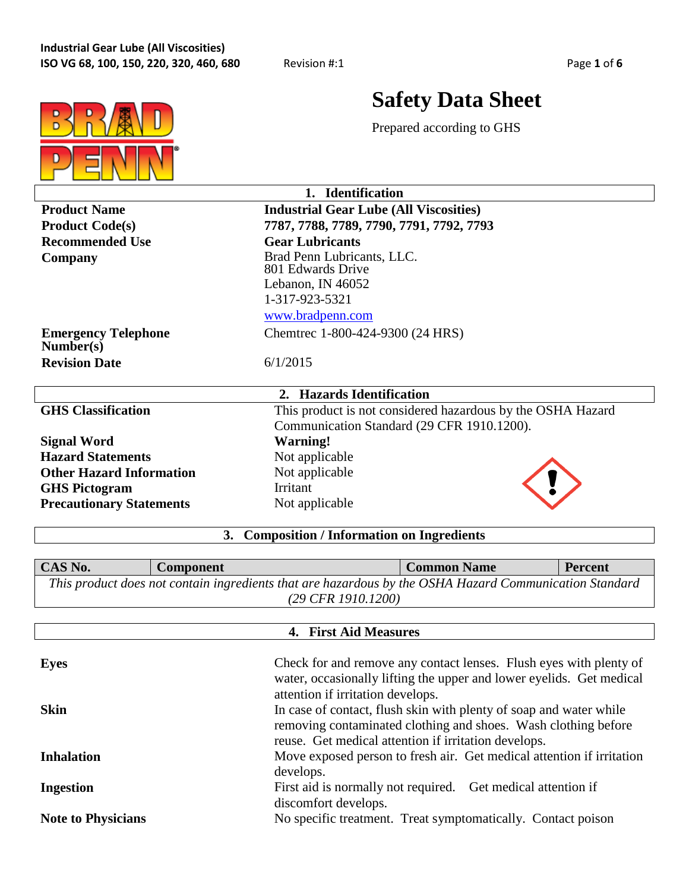

# **Safety Data Sheet**

Prepared according to GHS

|                                         | 1. Identification                                           |  |  |  |
|-----------------------------------------|-------------------------------------------------------------|--|--|--|
| <b>Product Name</b>                     | <b>Industrial Gear Lube (All Viscosities)</b>               |  |  |  |
| <b>Product Code(s)</b>                  | 7787, 7788, 7789, 7790, 7791, 7792, 7793                    |  |  |  |
| <b>Recommended Use</b>                  | <b>Gear Lubricants</b>                                      |  |  |  |
| Company                                 | Brad Penn Lubricants, LLC.<br>801 Edwards Drive             |  |  |  |
|                                         | Lebanon, IN 46052                                           |  |  |  |
|                                         | 1-317-923-5321                                              |  |  |  |
|                                         | www.bradpenn.com                                            |  |  |  |
| <b>Emergency Telephone</b><br>Number(s) | Chemtrec 1-800-424-9300 (24 HRS)                            |  |  |  |
| <b>Revision Date</b>                    | 6/1/2015                                                    |  |  |  |
| <b>Hazards Identification</b><br>2.     |                                                             |  |  |  |
| <b>GHS Classification</b>               | This product is not considered hazardous by the OSHA Hazard |  |  |  |
|                                         | Communication Standard (29 CFR 1910.1200).                  |  |  |  |
| <b>Signal Word</b>                      | Warning!                                                    |  |  |  |
| <b>Hazard Statements</b>                | Not applicable                                              |  |  |  |
| <b>Other Hazard Information</b>         | Not applicable                                              |  |  |  |
| <b>GHS Pictogram</b>                    | Irritant                                                    |  |  |  |
| <b>Precautionary Statements</b>         | Not applicable                                              |  |  |  |

## **3. Composition / Information on Ingredients**

**CAS No. Component Common Name Percent** *This product does not contain ingredients that are hazardous by the OSHA Hazard Communication Standard (29 CFR 1910.1200)*

| 4. First Aid Measures     |                                                                                                                                                                                              |  |  |
|---------------------------|----------------------------------------------------------------------------------------------------------------------------------------------------------------------------------------------|--|--|
| <b>Eyes</b>               | Check for and remove any contact lenses. Flush eyes with plenty of<br>water, occasionally lifting the upper and lower eyelids. Get medical<br>attention if irritation develops.              |  |  |
| <b>Skin</b>               | In case of contact, flush skin with plenty of soap and water while<br>removing contaminated clothing and shoes. Wash clothing before<br>reuse. Get medical attention if irritation develops. |  |  |
| <b>Inhalation</b>         | Move exposed person to fresh air. Get medical attention if irritation<br>develops.                                                                                                           |  |  |
| <b>Ingestion</b>          | First aid is normally not required. Get medical attention if<br>discomfort develops.                                                                                                         |  |  |
| <b>Note to Physicians</b> | No specific treatment. Treat symptomatically. Contact poison                                                                                                                                 |  |  |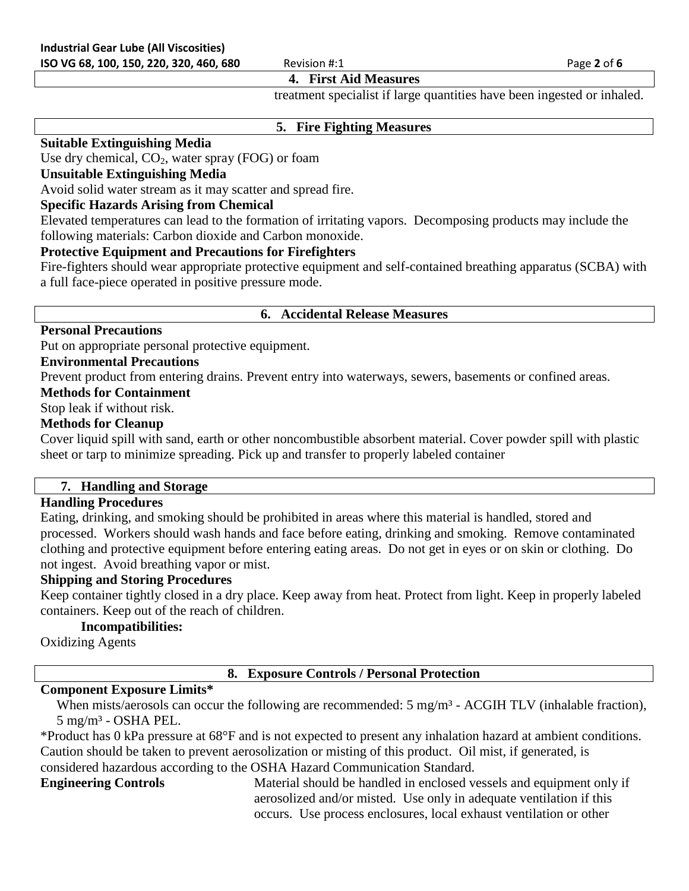#### **4. First Aid Measures**

treatment specialist if large quantities have been ingested or inhaled.

#### **5. Fire Fighting Measures**

#### **Suitable Extinguishing Media**

Use dry chemical,  $CO<sub>2</sub>$ , water spray (FOG) or foam

#### **Unsuitable Extinguishing Media**

Avoid solid water stream as it may scatter and spread fire.

#### **Specific Hazards Arising from Chemical**

Elevated temperatures can lead to the formation of irritating vapors. Decomposing products may include the following materials: Carbon dioxide and Carbon monoxide.

#### **Protective Equipment and Precautions for Firefighters**

Fire-fighters should wear appropriate protective equipment and self-contained breathing apparatus (SCBA) with a full face-piece operated in positive pressure mode.

#### **6. Accidental Release Measures**

#### **Personal Precautions**

Put on appropriate personal protective equipment.

#### **Environmental Precautions**

Prevent product from entering drains. Prevent entry into waterways, sewers, basements or confined areas.

#### **Methods for Containment**

Stop leak if without risk.

#### **Methods for Cleanup**

Cover liquid spill with sand, earth or other noncombustible absorbent material. Cover powder spill with plastic sheet or tarp to minimize spreading. Pick up and transfer to properly labeled container

#### **7. Handling and Storage**

#### **Handling Procedures**

Eating, drinking, and smoking should be prohibited in areas where this material is handled, stored and processed. Workers should wash hands and face before eating, drinking and smoking. Remove contaminated clothing and protective equipment before entering eating areas. Do not get in eyes or on skin or clothing. Do not ingest. Avoid breathing vapor or mist.

#### **Shipping and Storing Procedures**

Keep container tightly closed in a dry place. Keep away from heat. Protect from light. Keep in properly labeled containers. Keep out of the reach of children.

#### **Incompatibilities:**

Oxidizing Agents

#### **8. Exposure Controls / Personal Protection**

#### **Component Exposure Limits\***

When mists/aerosols can occur the following are recommended: 5 mg/m<sup>3</sup> - ACGIH TLV (inhalable fraction), 5 mg/m³ - OSHA PEL.

\*Product has 0 kPa pressure at 68°F and is not expected to present any inhalation hazard at ambient conditions. Caution should be taken to prevent aerosolization or misting of this product. Oil mist, if generated, is considered hazardous according to the OSHA Hazard Communication Standard.

**Engineering Controls** Material should be handled in enclosed vessels and equipment only if aerosolized and/or misted. Use only in adequate ventilation if this occurs. Use process enclosures, local exhaust ventilation or other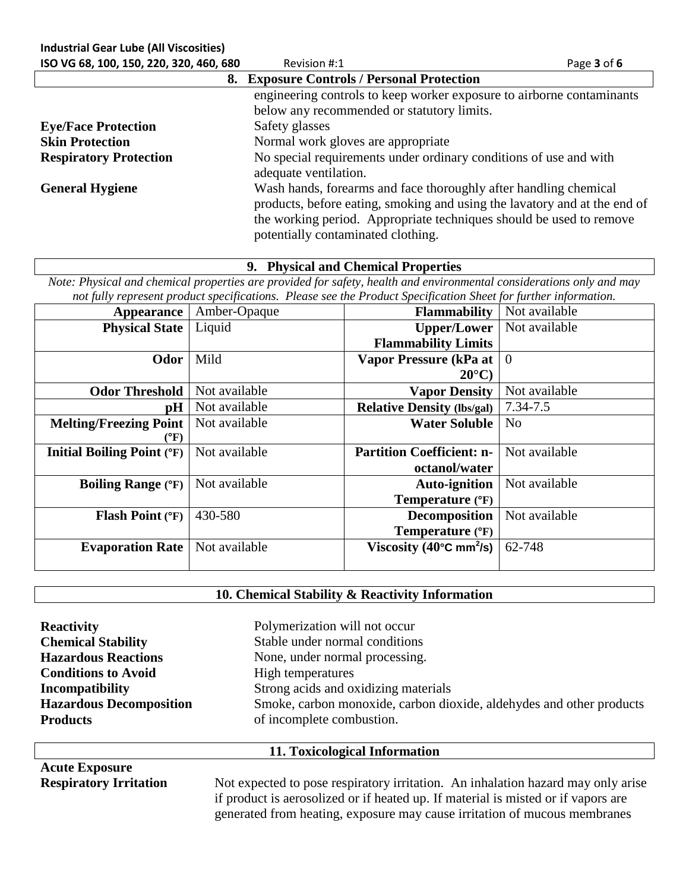| <b>Industrial Gear Lube (All Viscosities)</b> |                                                                                                                                                                                                                                                            |             |
|-----------------------------------------------|------------------------------------------------------------------------------------------------------------------------------------------------------------------------------------------------------------------------------------------------------------|-------------|
| ISO VG 68, 100, 150, 220, 320, 460, 680       | Revision #:1                                                                                                                                                                                                                                               | Page 3 of 6 |
|                                               | 8. Exposure Controls / Personal Protection                                                                                                                                                                                                                 |             |
|                                               | engineering controls to keep worker exposure to airborne contaminants                                                                                                                                                                                      |             |
|                                               | below any recommended or statutory limits.                                                                                                                                                                                                                 |             |
| <b>Eye/Face Protection</b>                    | Safety glasses                                                                                                                                                                                                                                             |             |
| <b>Skin Protection</b>                        | Normal work gloves are appropriate                                                                                                                                                                                                                         |             |
| <b>Respiratory Protection</b>                 | No special requirements under ordinary conditions of use and with<br>adequate ventilation.                                                                                                                                                                 |             |
| <b>General Hygiene</b>                        | Wash hands, forearms and face thoroughly after handling chemical<br>products, before eating, smoking and using the lavatory and at the end of<br>the working period. Appropriate techniques should be used to remove<br>potentially contaminated clothing. |             |

**9. Physical and Chemical Properties**

*Note: Physical and chemical properties are provided for safety, health and environmental considerations only and may not fully represent product specifications. Please see the Product Specification Sheet for further information.*

| <b>Appearance</b>                 | Amber-Opaque  | <b>Flammability</b>                           | Not available  |
|-----------------------------------|---------------|-----------------------------------------------|----------------|
| <b>Physical State</b>             | Liquid        | <b>Upper/Lower</b>                            | Not available  |
|                                   |               | <b>Flammability Limits</b>                    |                |
| Odor                              | Mild          | Vapor Pressure (kPa at                        | $\overline{0}$ |
|                                   |               | $20^{\circ}$ C)                               |                |
| <b>Odor Threshold</b>             | Not available | <b>Vapor Density</b>                          | Not available  |
| pH                                | Not available | <b>Relative Density (lbs/gal)</b>             | 7.34-7.5       |
| <b>Melting/Freezing Point</b>     | Not available | <b>Water Soluble</b>                          | N <sub>0</sub> |
| $({}^{\circ}{\rm F})$             |               |                                               |                |
| <b>Initial Boiling Point (°F)</b> | Not available | <b>Partition Coefficient: n-</b>              | Not available  |
|                                   |               | octanol/water                                 |                |
| <b>Boiling Range (°F)</b>         | Not available | <b>Auto-ignition</b>                          | Not available  |
|                                   |               | Temperature (°F)                              |                |
| <b>Flash Point (°F)</b>           | 430-580       | <b>Decomposition</b>                          | Not available  |
|                                   |               | Temperature (°F)                              |                |
| <b>Evaporation Rate</b>           | Not available | Viscosity (40 $\degree$ C mm <sup>2</sup> /s) | 62-748         |
|                                   |               |                                               |                |

#### **10. Chemical Stability & Reactivity Information**

| <b>Reactivity</b>              | Polymerization will not occur                                        |  |
|--------------------------------|----------------------------------------------------------------------|--|
| <b>Chemical Stability</b>      | Stable under normal conditions                                       |  |
| <b>Hazardous Reactions</b>     | None, under normal processing.                                       |  |
| <b>Conditions to Avoid</b>     | High temperatures                                                    |  |
| Incompatibility                | Strong acids and oxidizing materials                                 |  |
| <b>Hazardous Decomposition</b> | Smoke, carbon monoxide, carbon dioxide, aldehydes and other products |  |
| <b>Products</b>                | of incomplete combustion.                                            |  |
|                                |                                                                      |  |
|                                | 11. Toxicological Information                                        |  |

**Acute Exposure**

**Respiratory Irritation** Not expected to pose respiratory irritation. An inhalation hazard may only arise if product is aerosolized or if heated up. If material is misted or if vapors are generated from heating, exposure may cause irritation of mucous membranes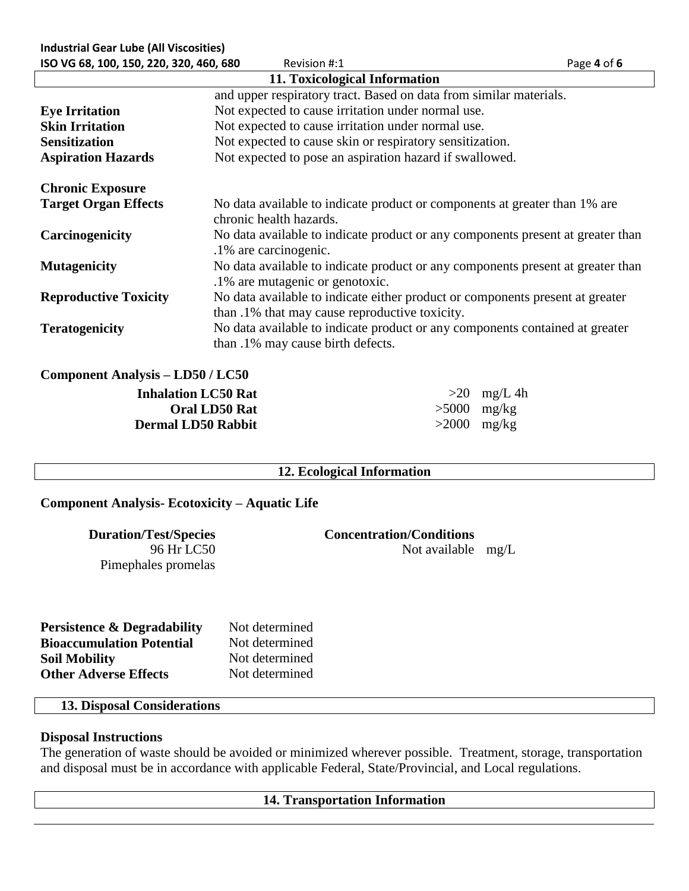| <b>Industrial Gear Lube (All Viscosities)</b> |                                                                                                                                 |               |
|-----------------------------------------------|---------------------------------------------------------------------------------------------------------------------------------|---------------|
| ISO VG 68, 100, 150, 220, 320, 460, 680       | Revision #:1                                                                                                                    | Page 4 of 6   |
|                                               | 11. Toxicological Information                                                                                                   |               |
|                                               | and upper respiratory tract. Based on data from similar materials.                                                              |               |
| <b>Eye Irritation</b>                         | Not expected to cause irritation under normal use.                                                                              |               |
| <b>Skin Irritation</b>                        | Not expected to cause irritation under normal use.                                                                              |               |
| <b>Sensitization</b>                          | Not expected to cause skin or respiratory sensitization.                                                                        |               |
| <b>Aspiration Hazards</b>                     | Not expected to pose an aspiration hazard if swallowed.                                                                         |               |
| <b>Chronic Exposure</b>                       |                                                                                                                                 |               |
| <b>Target Organ Effects</b>                   | No data available to indicate product or components at greater than 1% are<br>chronic health hazards.                           |               |
| Carcinogenicity                               | No data available to indicate product or any components present at greater than<br>.1% are carcinogenic.                        |               |
| <b>Mutagenicity</b>                           | No data available to indicate product or any components present at greater than<br>.1% are mutagenic or genotoxic.              |               |
| <b>Reproductive Toxicity</b>                  | No data available to indicate either product or components present at greater<br>than .1% that may cause reproductive toxicity. |               |
| <b>Teratogenicity</b>                         | No data available to indicate product or any components contained at greater<br>than .1% may cause birth defects.               |               |
| <b>Component Analysis – LD50 / LC50</b>       |                                                                                                                                 |               |
| <b>Inhalation LC50 Rat</b>                    |                                                                                                                                 | $>20$ mg/L 4h |

**Inhalation LC50 Rat**  $>20$  mg/L 4h **Oral LD50 Rat** >5000 mg/kg **Dermal LD50 Rabbit** >2000 mg/kg

### **12. Ecological Information**

#### **Component Analysis- Ecotoxicity – Aquatic Life**

96 Hr LC50 Pimephales promelas

**Duration/Test/Species Concentration/Conditions**

Not available mg/L

| <b>Persistence &amp; Degradability</b> | Not determined |
|----------------------------------------|----------------|
| <b>Bioaccumulation Potential</b>       | Not determined |
| <b>Soil Mobility</b>                   | Not determined |
| <b>Other Adverse Effects</b>           | Not determined |

### **13. Disposal Considerations**

### **Disposal Instructions**

The generation of waste should be avoided or minimized wherever possible. Treatment, storage, transportation and disposal must be in accordance with applicable Federal, State/Provincial, and Local regulations.

#### **14. Transportation Information**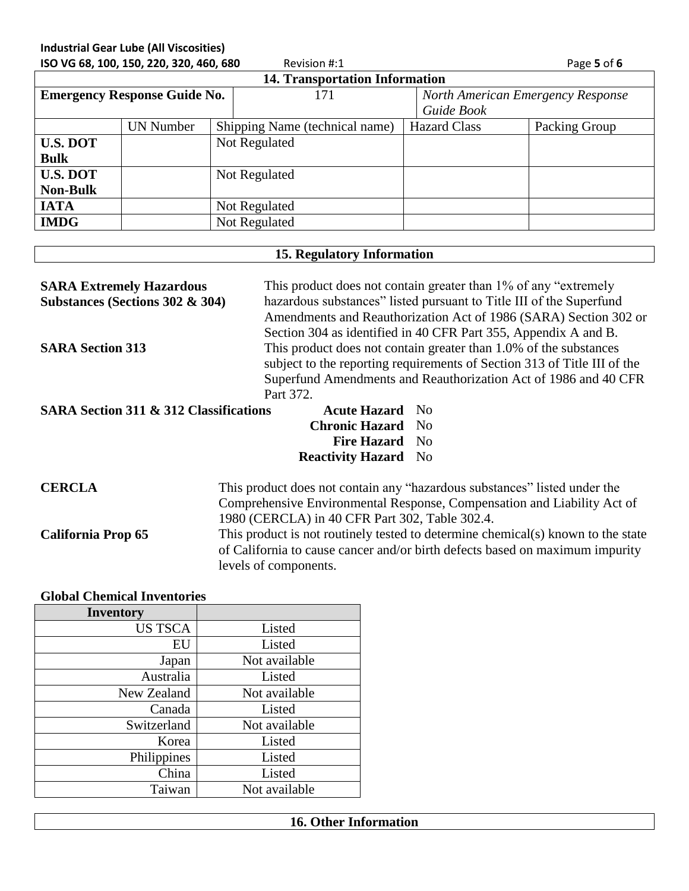**Industrial Gear Lube (All Viscosities)**

| ISO VG 68, 100, 150, 220, 320, 460, 680<br>Revision #:1 |                  |  |                                       | Page 5 of 6 |                                   |               |
|---------------------------------------------------------|------------------|--|---------------------------------------|-------------|-----------------------------------|---------------|
|                                                         |                  |  | <b>14. Transportation Information</b> |             |                                   |               |
| <b>Emergency Response Guide No.</b>                     |                  |  | 171                                   |             | North American Emergency Response |               |
|                                                         |                  |  |                                       |             | Guide Book                        |               |
|                                                         | <b>UN Number</b> |  | Shipping Name (technical name)        |             | <b>Hazard Class</b>               | Packing Group |
| <b>U.S. DOT</b>                                         |                  |  | Not Regulated                         |             |                                   |               |
| <b>Bulk</b>                                             |                  |  |                                       |             |                                   |               |
| <b>U.S. DOT</b>                                         |                  |  | Not Regulated                         |             |                                   |               |
| <b>Non-Bulk</b>                                         |                  |  |                                       |             |                                   |               |
| <b>IATA</b>                                             |                  |  | Not Regulated                         |             |                                   |               |
| <b>IMDG</b>                                             |                  |  | Not Regulated                         |             |                                   |               |

#### **15. Regulatory Information**

| <b>SARA Extremely Hazardous</b><br>Substances (Sections 302 & 304)<br><b>SARA Section 313</b>                                                                   | This product does not contain greater than 1% of any "extremely"<br>hazardous substances" listed pursuant to Title III of the Superfund<br>Amendments and Reauthorization Act of 1986 (SARA) Section 302 or<br>Section 304 as identified in 40 CFR Part 355, Appendix A and B.<br>This product does not contain greater than 1.0% of the substances<br>subject to the reporting requirements of Section 313 of Title III of the<br>Superfund Amendments and Reauthorization Act of 1986 and 40 CFR<br>Part 372. |  |
|-----------------------------------------------------------------------------------------------------------------------------------------------------------------|-----------------------------------------------------------------------------------------------------------------------------------------------------------------------------------------------------------------------------------------------------------------------------------------------------------------------------------------------------------------------------------------------------------------------------------------------------------------------------------------------------------------|--|
| <b>SARA Section 311 &amp; 312 Classifications</b><br><b>Acute Hazard</b> No<br><b>Chronic Hazard</b> No<br><b>Fire Hazard</b> No<br><b>Reactivity Hazard</b> No |                                                                                                                                                                                                                                                                                                                                                                                                                                                                                                                 |  |

**CERCLA** This product does not contain any "hazardous substances" listed under the Comprehensive Environmental Response, Compensation and Liability Act of 1980 (CERCLA) in 40 CFR Part 302, Table 302.4. **California Prop 65** This product is not routinely tested to determine chemical(s) known to the state of California to cause cancer and/or birth defects based on maximum impurity levels of components.

**Global Chemical Inventories**

| <b>Inventory</b> |               |
|------------------|---------------|
| <b>US TSCA</b>   | Listed        |
| EU               | Listed        |
| Japan            | Not available |
| Australia        | Listed        |
| New Zealand      | Not available |
| Canada           | Listed        |
| Switzerland      | Not available |
| Korea            | Listed        |
| Philippines      | Listed        |
| China            | Listed        |
| Taiwan           | Not available |